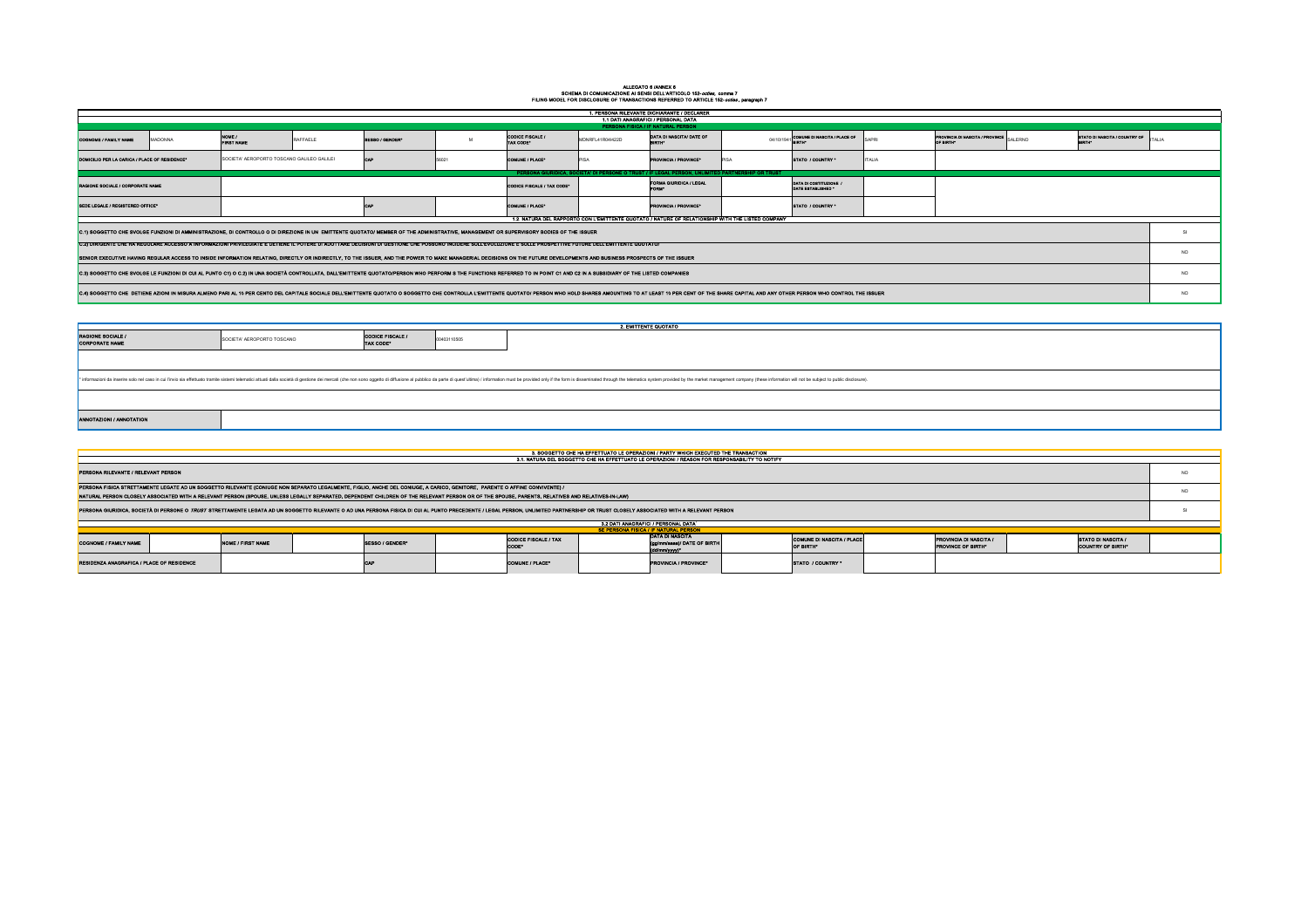## ALLEGATO 6 /ANNEX 6 SCHEMA DI COMUNICAZIONE AI SENSI DELL'ARTICOLO 152-*octies,* comma 7 FILING MODEL FOR DISCLOSURE OF TRANSACTIONS REFERRED TO ARTICLE 152-*octies* , paragraph 7

|                                             | SE PERSONA FISICA / IF NATURAL PERSON |                                                                        |                                                      |  |
|---------------------------------------------|---------------------------------------|------------------------------------------------------------------------|------------------------------------------------------|--|
| <b>CODICE FISCALE / TAX</b><br><b>CODE*</b> |                                       | <b>DATA DI NASCITA</b><br>(gg/mm/aaaa)/ DATE OF BIRTH<br>(dd/mm/yyyy)* | <b>COMUNE DI NASCITA / PLACE</b><br><b>OF BIRTH*</b> |  |
| <b>COMUNE / PLACE*</b>                      |                                       | <b>IPROVINCIA / PROVINCE*</b>                                          | <b>STATO / COUNTRY *</b>                             |  |

|                                                                                                                                                                                                                               |         |                                            |          |                                                                                                                                                                                                                                                                                                                                                                                 |             |                                      |                  | 1. PERSONA RILEVANTE DICHIARANTE / DECLARER<br>1.1 DATI ANAGRAFICI / PERSONAL DATA                                                                                                                                                  |                                                                                                                                                                                                                                |                                                             |                                                       |           |
|-------------------------------------------------------------------------------------------------------------------------------------------------------------------------------------------------------------------------------|---------|--------------------------------------------|----------|---------------------------------------------------------------------------------------------------------------------------------------------------------------------------------------------------------------------------------------------------------------------------------------------------------------------------------------------------------------------------------|-------------|--------------------------------------|------------------|-------------------------------------------------------------------------------------------------------------------------------------------------------------------------------------------------------------------------------------|--------------------------------------------------------------------------------------------------------------------------------------------------------------------------------------------------------------------------------|-------------------------------------------------------------|-------------------------------------------------------|-----------|
|                                                                                                                                                                                                                               |         |                                            |          |                                                                                                                                                                                                                                                                                                                                                                                 |             |                                      |                  | PERSONA FISICA / IF NATURAL PERSON                                                                                                                                                                                                  |                                                                                                                                                                                                                                |                                                             |                                                       |           |
| COGNOME / FAMILY NAME                                                                                                                                                                                                         | MADONNA | NOME /<br><b>FIRST NAME</b>                | RAFFAELE | SESSO / GENDER*                                                                                                                                                                                                                                                                                                                                                                 |             | <b>CODICE FISCALE /</b><br>TAX CODE* | MDNRFL41R04I422D | DATA DI NASCITA/ DATE OF<br><b>BIRTH*</b>                                                                                                                                                                                           | 04/10/1941 COMUNE DI NASCITA / PLACE OF<br>SAPRI                                                                                                                                                                               | <b>PROVINCIA DI NASCITA / PROVINCE SALERNO</b><br>OF BIRTH* | STATO DI NASCITA / COUNTRY OF  <br>BIRTH*             |           |
| DOMICILIO PER LA CARICA / PLACE OF RESIDENCE*                                                                                                                                                                                 |         | SOCIETA' AEROPORTO TOSCANO GALILEO GALILEI |          | <b>CAP</b>                                                                                                                                                                                                                                                                                                                                                                      | 56021       | <b>COMUNE / PLACE*</b>               | <b>PISA</b>      | <b>PROVINCIA / PROVINCE*</b><br><b>PISA</b>                                                                                                                                                                                         | <b>ITALIA</b><br>STATO / COUNTRY *                                                                                                                                                                                             |                                                             |                                                       |           |
|                                                                                                                                                                                                                               |         |                                            |          |                                                                                                                                                                                                                                                                                                                                                                                 |             |                                      |                  | PERSONA GIURIDICA, SOCIETA' DI PERSONE O TRUST / IF LEGAL PERSON, UNLIMITED PARTNERSHIP OR TRUST                                                                                                                                    |                                                                                                                                                                                                                                |                                                             |                                                       |           |
| RAGIONE SOCIALE / CORPORATE NAME                                                                                                                                                                                              |         |                                            |          |                                                                                                                                                                                                                                                                                                                                                                                 |             | CODICE FISCALE / TAX CODE*           |                  | <b>FORMA GIURIDICA / LEGAL</b>                                                                                                                                                                                                      | DATA DI COSTITUZIONE /<br>DATE ESTABLISHED *                                                                                                                                                                                   |                                                             |                                                       |           |
| SEDE LEGALE / REGISTERED OFFICE*                                                                                                                                                                                              |         |                                            |          | CAP                                                                                                                                                                                                                                                                                                                                                                             |             | COMUNE / PLACE*                      |                  | <b>PROVINCIA / PROVINCE*</b>                                                                                                                                                                                                        | STATO / COUNTRY *                                                                                                                                                                                                              |                                                             |                                                       |           |
|                                                                                                                                                                                                                               |         |                                            |          | C.1) SOGGETTO CHE SVOLGE FUNZIONI DI AMMINISTRAZIONE, DI CONTROLLO O DI DIREZIONE IN UN EMITTENTE QUOTATO/ MEMBER OF THE ADMINISTRATIVE, MANAGEMENT OR SUPERVISORY BODIES OF THE ISSUER                                                                                                                                                                                         |             |                                      |                  | 1.2. NATURA DEL RAPPORTO CON L'EMITTENTE QUOTATO / NATURE OF RELATIONSHIP WITH THE LISTED COMPANY                                                                                                                                   |                                                                                                                                                                                                                                |                                                             |                                                       |           |
| C.2) DIRIGENTE CHE HA REGOLARE ACCESSO A INFORMAZIONI PRIVILEGIATE E DETIENE IL POTERE DI ADOTTARE DECISIONI DI GESTIONE CHE POSSONO INCIDERE SULL'EVOLUZIONE E SULLE PROSPETTIVE FUTURE DELL'EMITTENTE QUOTATO/              |         |                                            |          |                                                                                                                                                                                                                                                                                                                                                                                 |             |                                      |                  |                                                                                                                                                                                                                                     |                                                                                                                                                                                                                                |                                                             |                                                       |           |
| SENIOR EXECUTIVE HAVING REGULAR ACCESS TO INSIDE INFORMATION RELATING, DIRECTLY OR INDIRECTLY, TO THE ISSUER, AND THE POWER TO MAKE MANAGERIAL DECISIONS ON THE FUTURE DEVELOPMENTS AND BUSINESS PROSPECTS OF THE ISSUER      |         |                                            |          |                                                                                                                                                                                                                                                                                                                                                                                 |             |                                      |                  |                                                                                                                                                                                                                                     |                                                                                                                                                                                                                                |                                                             | <b>NO</b>                                             |           |
| C.3) SOGGETTO CHE SVOLGE LE FUNZIONI DI CUI AL PUNTO C1) O C.2) IN UNA SOCIETÀ CONTROLLATA, DALL'EMITTENTE QUOTATO/PERSON WHO PERFORM S THE FUNCTIONS REFERRED TO IN POINT C1 AND C2 IN A SUBSIDIARY OF THE LISTED COMPANIES  |         |                                            |          |                                                                                                                                                                                                                                                                                                                                                                                 |             |                                      |                  |                                                                                                                                                                                                                                     | <b>NO</b>                                                                                                                                                                                                                      |                                                             |                                                       |           |
| C.4) SOGGETTO CHE DETIENE AZIONI IN MISURA ALMENO PARI AL 10 PER CENTO DEL CAPITALE SOCIALE DELL'EMITTENTE QUOTATO O SOGGETTO CHE CONTROLLA L'EMITTENTE QUOTATO / PERSON WHO HOLD SHARES AMOUNTING TO AT LEAST 10 PER CENT OF |         |                                            |          |                                                                                                                                                                                                                                                                                                                                                                                 |             |                                      |                  |                                                                                                                                                                                                                                     | <b>NO</b>                                                                                                                                                                                                                      |                                                             |                                                       |           |
|                                                                                                                                                                                                                               |         |                                            |          |                                                                                                                                                                                                                                                                                                                                                                                 |             |                                      |                  |                                                                                                                                                                                                                                     |                                                                                                                                                                                                                                |                                                             |                                                       |           |
|                                                                                                                                                                                                                               |         |                                            |          |                                                                                                                                                                                                                                                                                                                                                                                 |             |                                      |                  | <b>2. EMITTENTE QUOTATO</b>                                                                                                                                                                                                         |                                                                                                                                                                                                                                |                                                             |                                                       |           |
| <b>RAGIONE SOCIALE /</b><br><b>CORPORATE NAME</b>                                                                                                                                                                             |         | SOCIETA' AEROPORTO TOSCANO                 |          | <b>CODICE FISCALE /</b><br>TAX CODE*                                                                                                                                                                                                                                                                                                                                            | 00403110505 |                                      |                  |                                                                                                                                                                                                                                     |                                                                                                                                                                                                                                |                                                             |                                                       |           |
|                                                                                                                                                                                                                               |         |                                            |          |                                                                                                                                                                                                                                                                                                                                                                                 |             |                                      |                  |                                                                                                                                                                                                                                     |                                                                                                                                                                                                                                |                                                             |                                                       |           |
|                                                                                                                                                                                                                               |         |                                            |          |                                                                                                                                                                                                                                                                                                                                                                                 |             |                                      |                  |                                                                                                                                                                                                                                     | * informazioni da inserire solo nel caso in cui l'invio sia effettuato tramite sistemi telematici attuati dalla società di gestione dei mercati (che non sono oggetto di diffusione al pubblico da parte di quest'ultima) / in |                                                             |                                                       |           |
|                                                                                                                                                                                                                               |         |                                            |          |                                                                                                                                                                                                                                                                                                                                                                                 |             |                                      |                  |                                                                                                                                                                                                                                     |                                                                                                                                                                                                                                |                                                             |                                                       |           |
| ANNOTAZIONI / ANNOTATION                                                                                                                                                                                                      |         |                                            |          |                                                                                                                                                                                                                                                                                                                                                                                 |             |                                      |                  |                                                                                                                                                                                                                                     |                                                                                                                                                                                                                                |                                                             |                                                       |           |
|                                                                                                                                                                                                                               |         |                                            |          |                                                                                                                                                                                                                                                                                                                                                                                 |             |                                      |                  |                                                                                                                                                                                                                                     |                                                                                                                                                                                                                                |                                                             |                                                       |           |
|                                                                                                                                                                                                                               |         |                                            |          |                                                                                                                                                                                                                                                                                                                                                                                 |             |                                      |                  | 3. SOGGETTO CHE HA EFFETTUATO LE OPERAZIONI / PARTY WHICH EXECUTED THE TRANSACTION<br>3.1. NATURA DEL SOGGETTO CHE HA EFFETTUATO LE OPERAZIONI / REASON FOR RESPONSABILITY TO NOTIFY                                                |                                                                                                                                                                                                                                |                                                             |                                                       |           |
| <b>PERSONA RILEVANTE / RELEVANT PERSON</b>                                                                                                                                                                                    |         |                                            |          |                                                                                                                                                                                                                                                                                                                                                                                 |             |                                      |                  |                                                                                                                                                                                                                                     |                                                                                                                                                                                                                                |                                                             |                                                       | <b>NO</b> |
|                                                                                                                                                                                                                               |         |                                            |          | PERSONA FISICA STRETTAMENTE LEGATE AD UN SOGGETTO RILEVANTE (CONIUGE NON SEPARATO LEGALMENTE, FIGLIO, ANCHE DEL CONIUGE, A CARICO, GENITORE, PARENTE O AFFINE CONVIVENTE) /<br>NATURAL PERSON CLOSELY ASSOCIATED WITH A RELEVANT PERSON (SPOUSE, UNLESS LEGALLY SEPARATED, DEPENDENT CHILDREN OF THE RELEVANT PERSON OR OF THE SPOUSE, PARENTS, RELATIVES AND RELATIVES-IN-LAW) |             |                                      |                  |                                                                                                                                                                                                                                     |                                                                                                                                                                                                                                |                                                             |                                                       | <b>NO</b> |
|                                                                                                                                                                                                                               |         |                                            |          |                                                                                                                                                                                                                                                                                                                                                                                 |             |                                      |                  | PERSONA GIURIDICA, SOCIETÀ DI PERSONE O <i>TRUST</i> STRETTAMENTE LEGATA AD UN SOGGETTO RILEVANTE O AD UNA PERSONA FISICA DI CUI AL PUNTO PRECEDENTE / LEGAL PERSON, UNLIMITED PARTNERSHIP OR TRUST CLOSELY ASSOCIATED WITH A RELEV |                                                                                                                                                                                                                                |                                                             |                                                       |           |
|                                                                                                                                                                                                                               |         |                                            |          |                                                                                                                                                                                                                                                                                                                                                                                 |             |                                      |                  | 3.2 DATI ANAGRAFICI / PERSONAL DATA $^{\rm 1}$                                                                                                                                                                                      |                                                                                                                                                                                                                                |                                                             |                                                       |           |
| COGNOME / FAMILY NAME                                                                                                                                                                                                         |         | <b>NOME / FIRST NAME</b>                   |          | SESSO / GENDER*                                                                                                                                                                                                                                                                                                                                                                 |             | CODICE FISCALE / TAX<br>CODE*        |                  | SE PERSONA FISICA / IF NATURAL PERSON<br><b>DATA DI NASCITA</b><br>(gg/mm/aaaa)/ DATE OF BIRTH                                                                                                                                      | COMUNE DI NASCITA / PLACE<br><b>OF BIRTH*</b>                                                                                                                                                                                  | <b>PROVINCIA DI NASCITA /</b><br><b>PROVINCE OF BIRTH*</b>  | <b>STATO DI NASCITA /</b><br><b>COUNTRY OF BIRTH*</b> |           |
| <b>RESIDENZA ANAGRAFICA / PLACE OF RESIDENCE</b>                                                                                                                                                                              |         |                                            |          | <b>CAP</b>                                                                                                                                                                                                                                                                                                                                                                      |             | COMUNE / PLACE*                      |                  | $(dd/mm/yyy)^*$<br><b>PROVINCIA / PROVINCE*</b>                                                                                                                                                                                     | STATO / COUNTRY *                                                                                                                                                                                                              |                                                             |                                                       |           |
|                                                                                                                                                                                                                               |         |                                            |          |                                                                                                                                                                                                                                                                                                                                                                                 |             |                                      |                  |                                                                                                                                                                                                                                     |                                                                                                                                                                                                                                |                                                             |                                                       |           |

|                                                                                                                                                                                                                               |         |                                            |          |                                                                                                                                                                                                                                                                                                                                                                                 |             |                                      |                  | 1. PERSONA RILEVANTE DICHIARANTE / DECLARER<br>1.1 DATI ANAGRAFICI / PERSONAL DATA                                                                                                                                                  |                                                                                                                                                                                                                                |                                                             |                                                       |           |
|-------------------------------------------------------------------------------------------------------------------------------------------------------------------------------------------------------------------------------|---------|--------------------------------------------|----------|---------------------------------------------------------------------------------------------------------------------------------------------------------------------------------------------------------------------------------------------------------------------------------------------------------------------------------------------------------------------------------|-------------|--------------------------------------|------------------|-------------------------------------------------------------------------------------------------------------------------------------------------------------------------------------------------------------------------------------|--------------------------------------------------------------------------------------------------------------------------------------------------------------------------------------------------------------------------------|-------------------------------------------------------------|-------------------------------------------------------|-----------|
|                                                                                                                                                                                                                               |         |                                            |          |                                                                                                                                                                                                                                                                                                                                                                                 |             |                                      |                  | PERSONA FISICA / IF NATURAL PERSON                                                                                                                                                                                                  |                                                                                                                                                                                                                                |                                                             |                                                       |           |
| COGNOME / FAMILY NAME                                                                                                                                                                                                         | MADONNA | NOME /<br><b>FIRST NAME</b>                | RAFFAELE | SESSO / GENDER*                                                                                                                                                                                                                                                                                                                                                                 | M           | <b>CODICE FISCALE /</b><br>TAX CODE* | MDNRFL41R04I422D | DATA DI NASCITA/ DATE OF<br>BIRTH*                                                                                                                                                                                                  | 04/10/1941 COMUNE DI NASCITA / PLACE OF<br>SAPRI                                                                                                                                                                               | <b>PROVINCIA DI NASCITA / PROVINCE SALERNO</b><br>OF BIRTH* | STATO DI NASCITA / COUNTRY OF  <br>BIRTH*             |           |
| DOMICILIO PER LA CARICA / PLACE OF RESIDENCE*                                                                                                                                                                                 |         | SOCIETA' AEROPORTO TOSCANO GALILEO GALILEI |          | <b>CAP</b>                                                                                                                                                                                                                                                                                                                                                                      | 56021       | COMUNE / PLACE*                      | <b>IPISA</b>     | <b>PROVINCIA / PROVINCE*</b><br><b>IPISA</b>                                                                                                                                                                                        | STATO / COUNTRY *<br><b>ITALIA</b>                                                                                                                                                                                             |                                                             |                                                       |           |
|                                                                                                                                                                                                                               |         |                                            |          |                                                                                                                                                                                                                                                                                                                                                                                 |             |                                      |                  | PERSONA GIURIDICA, SOCIETA' DI PERSONE O TRUST / IF LEGAL PERSON, UNLIMITED PARTNERSHIP OR TRUST                                                                                                                                    |                                                                                                                                                                                                                                |                                                             |                                                       |           |
| RAGIONE SOCIALE / CORPORATE NAME                                                                                                                                                                                              |         |                                            |          |                                                                                                                                                                                                                                                                                                                                                                                 |             | CODICE FISCALE / TAX CODE*           |                  | <b>FORMA GIURIDICA / LEGAL</b>                                                                                                                                                                                                      | DATA DI COSTITUZIONE /<br>DATE ESTABLISHED *                                                                                                                                                                                   |                                                             |                                                       |           |
| SEDE LEGALE / REGISTERED OFFICE*                                                                                                                                                                                              |         |                                            |          | <b>CAP</b>                                                                                                                                                                                                                                                                                                                                                                      |             | COMUNE / PLACE*                      |                  | <b>PROVINCIA / PROVINCE*</b>                                                                                                                                                                                                        | STATO / COUNTRY *                                                                                                                                                                                                              |                                                             |                                                       |           |
|                                                                                                                                                                                                                               |         |                                            |          | C.1) SOGGETTO CHE SVOLGE FUNZIONI DI AMMINISTRAZIONE, DI CONTROLLO O DI DIREZIONE IN UN EMITTENTE QUOTATO/ MEMBER OF THE ADMINISTRATIVE, MANAGEMENT OR SUPERVISORY BODIES OF THE ISSUER                                                                                                                                                                                         |             |                                      |                  | 1.2. NATURA DEL RAPPORTO CON L'EMITTENTE QUOTATO / NATURE OF RELATIONSHIP WITH THE LISTED COMPANY                                                                                                                                   |                                                                                                                                                                                                                                |                                                             |                                                       |           |
| C.2) DIRIGENTE CHE HA REGOLARE ACCESSO A INFORMAZIONI PRIVILEGIATE E DETIENE IL POTERE DI ADOTTARE DECISIONI DI GESTIONE CHE POSSONO INCIDERE SULL'EVOLUZIONE E SULLE PROSPETTIVE FUTURE DELL'EMITTENTE QUOTATO/              |         |                                            |          |                                                                                                                                                                                                                                                                                                                                                                                 |             |                                      |                  |                                                                                                                                                                                                                                     |                                                                                                                                                                                                                                |                                                             |                                                       |           |
| SENIOR EXECUTIVE HAVING REGULAR ACCESS TO INSIDE INFORMATION RELATING, DIRECTLY OR INDIRECTLY, TO THE ISSUER, AND THE POWER TO MAKE MANAGERIAL DECISIONS ON THE FUTURE DEVELOPMENTS AND BUSINESS PROSPECTS OF THE ISSUER      |         |                                            |          |                                                                                                                                                                                                                                                                                                                                                                                 |             |                                      |                  |                                                                                                                                                                                                                                     |                                                                                                                                                                                                                                |                                                             | <b>NO</b>                                             |           |
| C.3) SOGGETTO CHE SVOLGE LE FUNZIONI DI CUI AL PUNTO C1) O C.2) IN UNA SOCIETÀ CONTROLLATA, DALL'EMITTENTE QUOTATO/PERSON WHO PERFORM S THE FUNCTIONS REFERRED TO IN POINT C1 AND C2 IN A SUBSIDIARY OF THE LISTED COMPANIES  |         |                                            |          |                                                                                                                                                                                                                                                                                                                                                                                 |             |                                      |                  |                                                                                                                                                                                                                                     |                                                                                                                                                                                                                                | <b>NO</b>                                                   |                                                       |           |
| C.4) SOGGETTO CHE DETIENE AZIONI IN MISURA ALMENO PARI AL 10 PER CENTO DEL CAPITALE SOCIALE DELL'EMITTENTE QUOTATO O SOGGETTO CHE CONTROLLA L'EMITTENTE QUOTATO / PERSON WHO HOLD SHARES AMOUNTING TO AT LEAST 10 PER CENT OF |         |                                            |          |                                                                                                                                                                                                                                                                                                                                                                                 |             |                                      |                  |                                                                                                                                                                                                                                     | <b>NO</b>                                                                                                                                                                                                                      |                                                             |                                                       |           |
|                                                                                                                                                                                                                               |         |                                            |          |                                                                                                                                                                                                                                                                                                                                                                                 |             |                                      |                  |                                                                                                                                                                                                                                     |                                                                                                                                                                                                                                |                                                             |                                                       |           |
|                                                                                                                                                                                                                               |         |                                            |          |                                                                                                                                                                                                                                                                                                                                                                                 |             |                                      |                  | <b>2. EMITTENTE QUOTATO</b>                                                                                                                                                                                                         |                                                                                                                                                                                                                                |                                                             |                                                       |           |
| <b>RAGIONE SOCIALE /</b><br><b>CORPORATE NAME</b>                                                                                                                                                                             |         | SOCIETA' AEROPORTO TOSCANO                 |          | <b>CODICE FISCALE /</b><br>TAX CODE*                                                                                                                                                                                                                                                                                                                                            | 00403110505 |                                      |                  |                                                                                                                                                                                                                                     |                                                                                                                                                                                                                                |                                                             |                                                       |           |
|                                                                                                                                                                                                                               |         |                                            |          |                                                                                                                                                                                                                                                                                                                                                                                 |             |                                      |                  |                                                                                                                                                                                                                                     |                                                                                                                                                                                                                                |                                                             |                                                       |           |
|                                                                                                                                                                                                                               |         |                                            |          |                                                                                                                                                                                                                                                                                                                                                                                 |             |                                      |                  |                                                                                                                                                                                                                                     | * informazioni da inserire solo nel caso in cui l'invio sia effettuato tramite sistemi telematici attuati dalla società di gestione dei mercati (che non sono oggetto di diffusione al pubblico da parte di quest'ultima) / in |                                                             |                                                       |           |
|                                                                                                                                                                                                                               |         |                                            |          |                                                                                                                                                                                                                                                                                                                                                                                 |             |                                      |                  |                                                                                                                                                                                                                                     |                                                                                                                                                                                                                                |                                                             |                                                       |           |
| <b>ANNOTAZIONI / ANNOTATION</b>                                                                                                                                                                                               |         |                                            |          |                                                                                                                                                                                                                                                                                                                                                                                 |             |                                      |                  |                                                                                                                                                                                                                                     |                                                                                                                                                                                                                                |                                                             |                                                       |           |
|                                                                                                                                                                                                                               |         |                                            |          |                                                                                                                                                                                                                                                                                                                                                                                 |             |                                      |                  |                                                                                                                                                                                                                                     |                                                                                                                                                                                                                                |                                                             |                                                       |           |
|                                                                                                                                                                                                                               |         |                                            |          |                                                                                                                                                                                                                                                                                                                                                                                 |             |                                      |                  | 3. SOGGETTO CHE HA EFFETTUATO LE OPERAZIONI / PARTY WHICH EXECUTED THE TRANSACTION<br>3.1. NATURA DEL SOGGETTO CHE HA EFFETTUATO LE OPERAZIONI / REASON FOR RESPONSABILITY TO NOTIFY                                                |                                                                                                                                                                                                                                |                                                             |                                                       |           |
|                                                                                                                                                                                                                               |         |                                            |          |                                                                                                                                                                                                                                                                                                                                                                                 |             |                                      |                  |                                                                                                                                                                                                                                     |                                                                                                                                                                                                                                |                                                             |                                                       |           |
| <b>PERSONA RILEVANTE / RELEVANT PERSON</b>                                                                                                                                                                                    |         |                                            |          |                                                                                                                                                                                                                                                                                                                                                                                 |             |                                      |                  |                                                                                                                                                                                                                                     |                                                                                                                                                                                                                                |                                                             |                                                       | <b>NO</b> |
|                                                                                                                                                                                                                               |         |                                            |          | PERSONA FISICA STRETTAMENTE LEGATE AD UN SOGGETTO RILEVANTE (CONIUGE NON SEPARATO LEGALMENTE, FIGLIO, ANCHE DEL CONIUGE, A CARICO, GENITORE, PARENTE O AFFINE CONVIVENTE) /<br>NATURAL PERSON CLOSELY ASSOCIATED WITH A RELEVANT PERSON (SPOUSE, UNLESS LEGALLY SEPARATED, DEPENDENT CHILDREN OF THE RELEVANT PERSON OR OF THE SPOUSE, PARENTS, RELATIVES AND RELATIVES-IN-LAW) |             |                                      |                  |                                                                                                                                                                                                                                     |                                                                                                                                                                                                                                |                                                             |                                                       | <b>NO</b> |
|                                                                                                                                                                                                                               |         |                                            |          |                                                                                                                                                                                                                                                                                                                                                                                 |             |                                      |                  | PERSONA GIURIDICA, SOCIETÀ DI PERSONE O <i>TRUST</i> STRETTAMENTE LEGATA AD UN SOGGETTO RILEVANTE O AD UNA PERSONA FISICA DI CUI AL PUNTO PRECEDENTE / LEGAL PERSON, UNLIMITED PARTNERSHIP OR TRUST CLOSELY ASSOCIATED WITH A RELEV |                                                                                                                                                                                                                                |                                                             |                                                       |           |
|                                                                                                                                                                                                                               |         |                                            |          |                                                                                                                                                                                                                                                                                                                                                                                 |             |                                      |                  | 3.2 DATI ANAGRAFICI / PERSONAL DATA $^\mathrm{1}$<br>SE PERSONA FISICA / IF NATURAL PERSON                                                                                                                                          |                                                                                                                                                                                                                                |                                                             |                                                       |           |
| COGNOME / FAMILY NAME                                                                                                                                                                                                         |         | <b>NOME / FIRST NAME</b>                   |          | SESSO / GENDER*                                                                                                                                                                                                                                                                                                                                                                 |             | <b>CODICE FISCALE / TAX</b><br>CODE* |                  | <b>DATA DI NASCITA</b><br>(gg/mm/aaaa)/ DATE OF BIRTH<br>(dd/mm/yyyy)*                                                                                                                                                              | COMUNE DI NASCITA / PLACE<br><b>OF BIRTH*</b>                                                                                                                                                                                  | <b>PROVINCIA DI NASCITA /</b><br><b>PROVINCE OF BIRTH*</b>  | <b>STATO DI NASCITA /</b><br><b>COUNTRY OF BIRTH*</b> |           |
| RESIDENZA ANAGRAFICA / PLACE OF RESIDENCE                                                                                                                                                                                     |         |                                            |          | <b>CAP</b>                                                                                                                                                                                                                                                                                                                                                                      |             | COMUNE / PLACE*                      |                  | <b>PROVINCIA / PROVINCE*</b>                                                                                                                                                                                                        | STATO / COUNTRY *                                                                                                                                                                                                              |                                                             |                                                       |           |